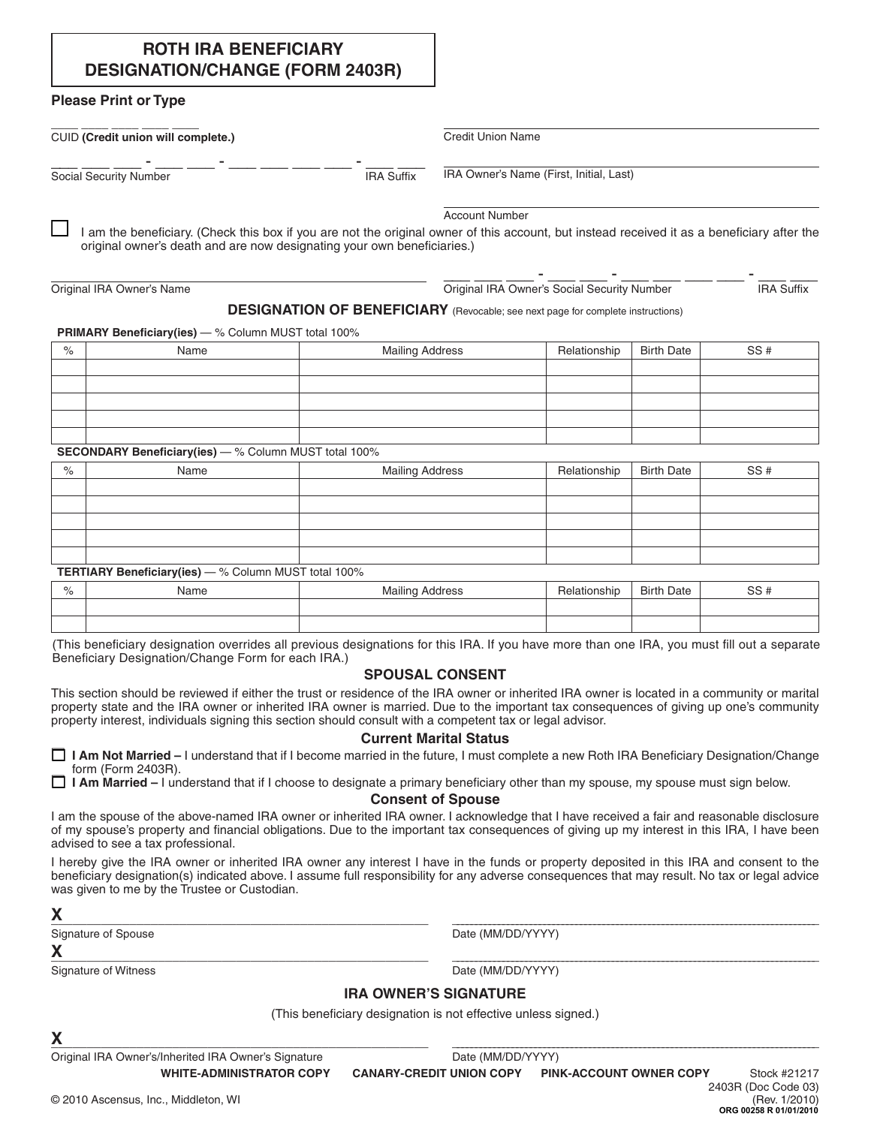## **ROTH IRA BENEFICIARY DESIGNATION/CHANGE (FORM 2403R)**

Social Security Number **Internal Contract Contract Contract Contract Contract Contract Contract Contract Contract Contract Contract Contract Contract Contract Contract Contract Contract Contract Contract Contract Contract** 

### **Please Print or Type**

\_\_\_\_ \_\_\_\_ \_\_\_\_ \_\_\_\_ \_\_\_\_

CUID **(Credit union will complete.)**

\_\_\_ \_\_\_ \_\_\_ - \_\_\_ - \_\_\_ - \_\_\_ \_\_\_ - \_\_\_ - \_\_\_ - \_\_\_

Credit Union Name

IRA Owner's Name (First, Initial, Last)

\_\_\_ \_\_\_ \_\_\_ - \_\_\_ - \_\_\_ - \_\_\_ \_\_\_ - \_\_\_ - \_\_\_ - \_\_\_

Account Number

I am the beneficiary. (Check this box if you are not the original owner of this account, but instead received it as a beneficiary after the original owner's death and are now designating your own beneficiaries.)

Original IRA Owner's Name

Original IRA Owner's Social Security Number **IRA Suffix** 

#### **DESIGNATION OF BENEFICIARY** (Revocable; see next page for complete instructions)

**PRIMARY Beneficiary(ies)** — % Column MUST total 100%

| % | Name | <b>Mailing Address</b> | Relationship   Birth Date | SS# |
|---|------|------------------------|---------------------------|-----|
|   |      |                        |                           |     |
|   |      |                        |                           |     |
|   |      |                        |                           |     |
|   |      |                        |                           |     |
|   |      |                        |                           |     |

**SECONDARY Beneficiary(ies)** — % Column MUST total 100%

| $\%$ | Name | <b>Mailing Address</b> | Relationship | Birth Date | SS# |
|------|------|------------------------|--------------|------------|-----|
|      |      |                        |              |            |     |
|      |      |                        |              |            |     |
|      |      |                        |              |            |     |
|      |      |                        |              |            |     |
|      |      |                        |              |            |     |

**TERTIARY Beneficiary(ies)** — % Column MUST total 100%

| $\Omega$<br>/O | Name | Mailing '<br>Address | <b>Helationship</b> | <b>Birth Date</b> | 0 <sup>u</sup><br>ںں |
|----------------|------|----------------------|---------------------|-------------------|----------------------|
|                |      |                      |                     |                   |                      |
|                |      |                      |                     |                   |                      |

(This beneficiary designation overrides all previous designations for this IRA. If you have more than one IRA, you must fill out a separate Beneficiary Designation/Change Form for each IRA.)

## **Spousal Consent**

This section should be reviewed if either the trust or residence of the IRA owner or inherited IRA owner is located in a community or marital property state and the IRA owner or inherited IRA owner is married. Due to the important tax consequences of giving up one's community property interest, individuals signing this section should consult with a competent tax or legal advisor.

#### **Current Marital Status**

M **I Am Not Married –** I understand that if I become married in the future, I must complete a new Roth IRA Beneficiary Designation/Change form (Form 2403R).

□ **I Am Married** – I understand that if I choose to designate a primary beneficiary other than my spouse, my spouse must sign below.

**Consent of Spouse**

I am the spouse of the above-named IRA owner or inherited IRA owner. I acknowledge that I have received a fair and reasonable disclosure of my spouse's property and financial obligations. Due to the important tax consequences of giving up my interest in this IRA, I have been advised to see a tax professional.

I hereby give the IRA owner or inherited IRA owner any interest I have in the funds or property deposited in this IRA and consent to the beneficiary designation(s) indicated above. I assume full responsibility for any adverse consequences that may result. No tax or legal advice was given to me by the Trustee or Custodian.

# **X**\_\_\_\_\_\_\_\_\_\_\_\_\_\_\_\_\_\_\_\_\_\_\_\_\_\_\_\_\_\_\_\_\_\_\_\_\_\_\_\_\_\_\_\_\_\_\_\_\_\_\_\_\_ \_\_\_\_\_\_\_\_\_\_\_\_\_\_\_\_\_\_\_\_\_\_\_\_\_\_\_\_\_\_\_\_\_\_\_\_\_\_\_\_\_\_\_\_\_\_\_\_\_\_\_\_\_\_\_\_\_\_\_\_\_\_\_\_\_\_\_\_\_\_\_\_\_\_\_\_\_\_\_\_

Signature of Spouse **Date (MM/DD/YYYY) Date (MM/DD/YYYY)** 

Signature of Witness **Date (MM/DD/YYYY)** 

**X**\_\_\_\_\_\_\_\_\_\_\_\_\_\_\_\_\_\_\_\_\_\_\_\_\_\_\_\_\_\_\_\_\_\_\_\_\_\_\_\_\_\_\_\_\_\_\_\_\_\_\_\_\_ \_\_\_\_\_\_\_\_\_\_\_\_\_\_\_\_\_\_\_\_\_\_\_\_\_\_\_\_\_\_\_\_\_\_\_\_\_\_\_\_\_\_\_\_\_\_\_\_\_\_\_\_\_\_\_\_\_\_\_\_\_\_\_\_\_\_\_\_\_\_\_\_\_\_\_\_\_\_\_\_

## **IRA OWNER'S SIGNATURE**

(This beneficiary designation is not effective unless signed.)

**X**\_\_\_\_\_\_\_\_\_\_\_\_\_\_\_\_\_\_\_\_\_\_\_\_\_\_\_\_\_\_\_\_\_\_\_\_\_\_\_\_\_\_\_\_\_\_\_\_\_\_\_\_\_ \_\_\_\_\_\_\_\_\_\_\_\_\_\_\_\_\_\_\_\_\_\_\_\_\_\_\_\_\_\_\_\_\_\_\_\_\_\_\_\_\_\_\_\_\_\_\_\_\_\_\_\_\_\_\_\_\_\_\_\_\_\_\_\_\_\_\_\_\_\_\_\_\_\_\_\_\_\_\_\_

**WHITE-ADMINISTRATOR COPY CANARY-CREDIT UNION COPY PINK-ACCOUNT OWNER COPY** Original IRA Owner's/Inherited IRA Owner's Signature **Date (MM/DD/YYYY)** 

Stock #21217 2403R (Doc Code 03) (Rev. 1/2010) **ORG 00258 R 01/01/2010**